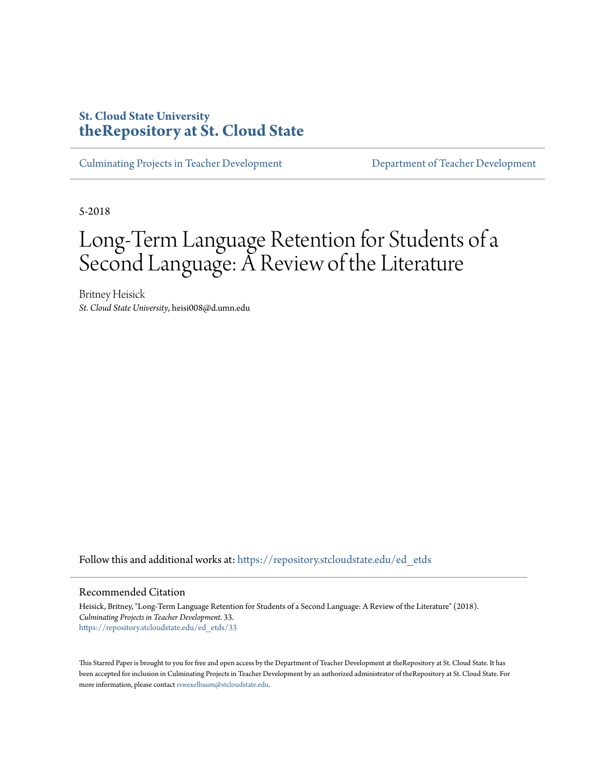# **St. Cloud State University [theRepository at St. Cloud State](https://repository.stcloudstate.edu?utm_source=repository.stcloudstate.edu%2Fed_etds%2F33&utm_medium=PDF&utm_campaign=PDFCoverPages)**

[Culminating Projects in Teacher Development](https://repository.stcloudstate.edu/ed_etds?utm_source=repository.stcloudstate.edu%2Fed_etds%2F33&utm_medium=PDF&utm_campaign=PDFCoverPages) [Department of Teacher Development](https://repository.stcloudstate.edu/ed?utm_source=repository.stcloudstate.edu%2Fed_etds%2F33&utm_medium=PDF&utm_campaign=PDFCoverPages)

5-2018

# Long-Term Language Retention for Students of a Second Language: A Review of the Literature

Britney Heisick *St. Cloud State University*, heisi008@d.umn.edu

Follow this and additional works at: [https://repository.stcloudstate.edu/ed\\_etds](https://repository.stcloudstate.edu/ed_etds?utm_source=repository.stcloudstate.edu%2Fed_etds%2F33&utm_medium=PDF&utm_campaign=PDFCoverPages)

Recommended Citation

Heisick, Britney, "Long-Term Language Retention for Students of a Second Language: A Review of the Literature" (2018). *Culminating Projects in Teacher Development*. 33. [https://repository.stcloudstate.edu/ed\\_etds/33](https://repository.stcloudstate.edu/ed_etds/33?utm_source=repository.stcloudstate.edu%2Fed_etds%2F33&utm_medium=PDF&utm_campaign=PDFCoverPages)

This Starred Paper is brought to you for free and open access by the Department of Teacher Development at theRepository at St. Cloud State. It has been accepted for inclusion in Culminating Projects in Teacher Development by an authorized administrator of theRepository at St. Cloud State. For more information, please contact [rswexelbaum@stcloudstate.edu](mailto:rswexelbaum@stcloudstate.edu).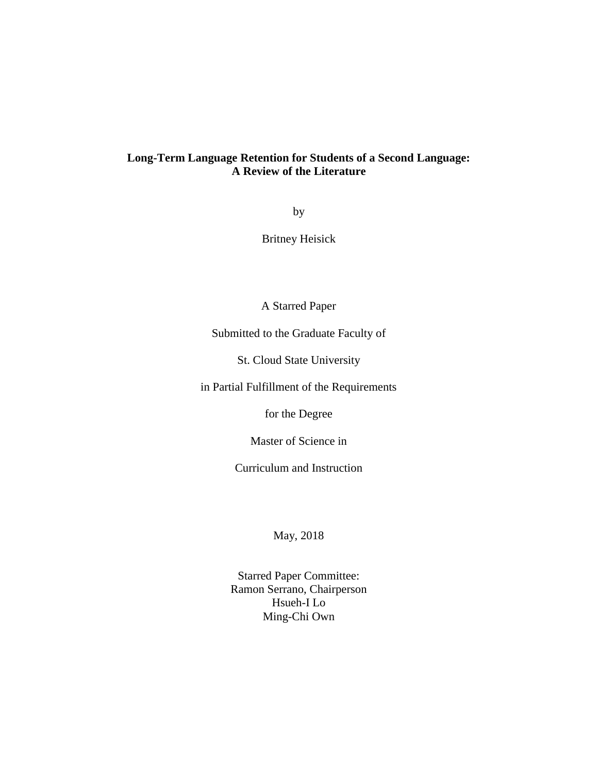## **Long-Term Language Retention for Students of a Second Language: A Review of the Literature**

by

Britney Heisick

A Starred Paper

Submitted to the Graduate Faculty of

St. Cloud State University

in Partial Fulfillment of the Requirements

for the Degree

Master of Science in

Curriculum and Instruction

May, 2018

Starred Paper Committee: Ramon Serrano, Chairperson Hsueh-I Lo Ming-Chi Own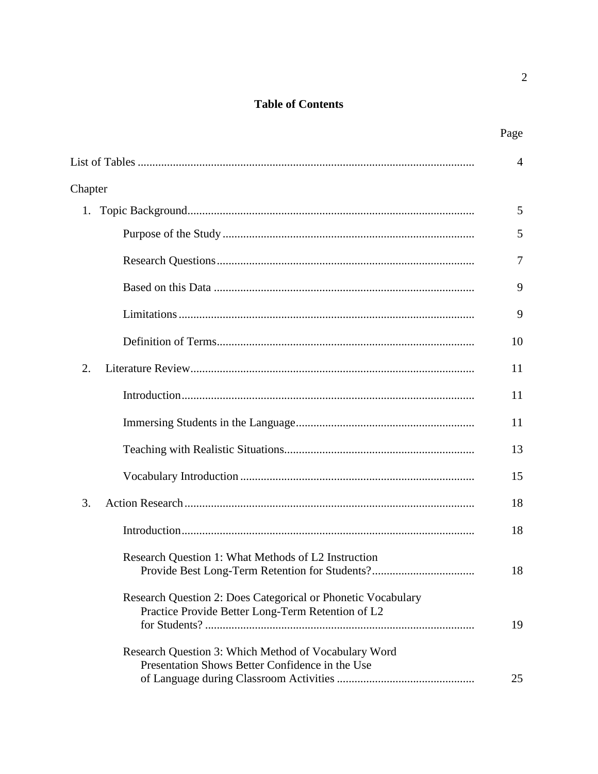# **Table of Contents**

|                                                                                                                   | $\overline{4}$ |
|-------------------------------------------------------------------------------------------------------------------|----------------|
| Chapter                                                                                                           |                |
| 1.                                                                                                                | 5              |
|                                                                                                                   | 5              |
|                                                                                                                   | 7              |
|                                                                                                                   | 9              |
|                                                                                                                   | 9              |
|                                                                                                                   | 10             |
| 2.                                                                                                                | 11             |
|                                                                                                                   | 11             |
|                                                                                                                   | 11             |
|                                                                                                                   | 13             |
|                                                                                                                   | 15             |
| 3.                                                                                                                | 18             |
|                                                                                                                   | 18             |
| Research Question 1: What Methods of L2 Instruction<br>Provide Best Long-Term Retention for Students?             | 18             |
| Research Question 2: Does Categorical or Phonetic Vocabulary<br>Practice Provide Better Long-Term Retention of L2 | 19             |
| Research Question 3: Which Method of Vocabulary Word<br>Presentation Shows Better Confidence in the Use           | 25             |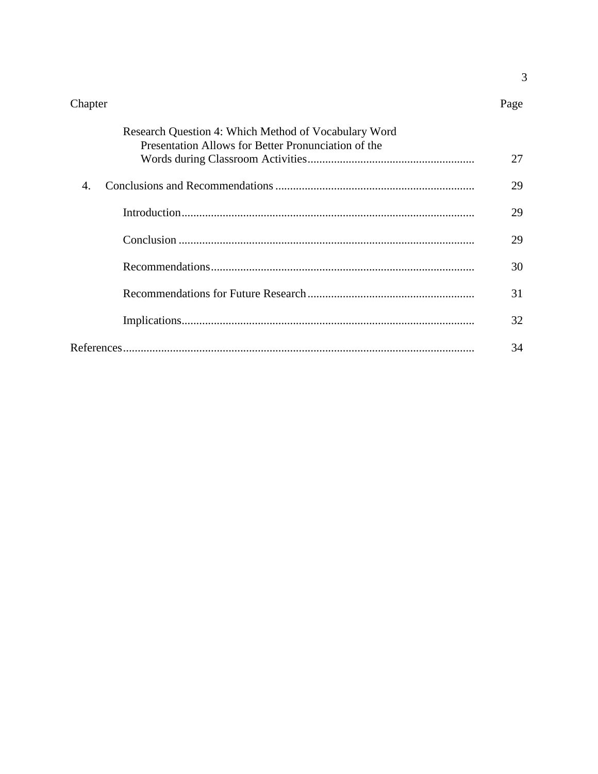$\mathfrak{Z}$ 

| Research Question 4: Which Method of Vocabulary Word<br>Presentation Allows for Better Pronunciation of the |    |
|-------------------------------------------------------------------------------------------------------------|----|
|                                                                                                             | 27 |
| $\overline{4}$                                                                                              | 29 |
|                                                                                                             | 29 |
|                                                                                                             | 29 |
|                                                                                                             | 30 |
|                                                                                                             | 31 |
|                                                                                                             | 32 |
|                                                                                                             | 34 |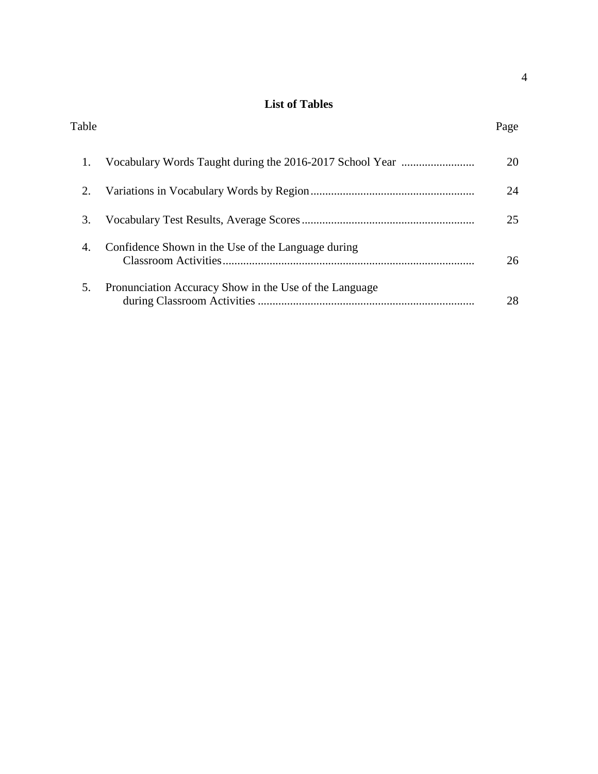## **List of Tables**

| Table |                                                          | Page |
|-------|----------------------------------------------------------|------|
| 1.    | Vocabulary Words Taught during the 2016-2017 School Year | 20   |
| 2.    |                                                          | 24   |
| 3.    |                                                          | 25   |
| 4.    | Confidence Shown in the Use of the Language during       | 26   |
| 5.    | Pronunciation Accuracy Show in the Use of the Language   | 28   |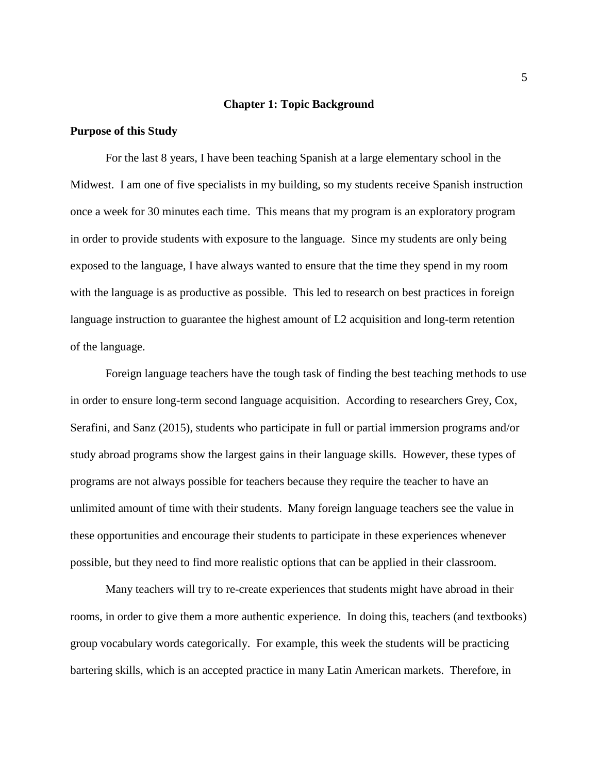## **Chapter 1: Topic Background**

## **Purpose of this Study**

For the last 8 years, I have been teaching Spanish at a large elementary school in the Midwest. I am one of five specialists in my building, so my students receive Spanish instruction once a week for 30 minutes each time. This means that my program is an exploratory program in order to provide students with exposure to the language. Since my students are only being exposed to the language, I have always wanted to ensure that the time they spend in my room with the language is as productive as possible. This led to research on best practices in foreign language instruction to guarantee the highest amount of L2 acquisition and long-term retention of the language.

Foreign language teachers have the tough task of finding the best teaching methods to use in order to ensure long-term second language acquisition. According to researchers Grey, Cox, Serafini, and Sanz (2015), students who participate in full or partial immersion programs and/or study abroad programs show the largest gains in their language skills. However, these types of programs are not always possible for teachers because they require the teacher to have an unlimited amount of time with their students. Many foreign language teachers see the value in these opportunities and encourage their students to participate in these experiences whenever possible, but they need to find more realistic options that can be applied in their classroom.

Many teachers will try to re-create experiences that students might have abroad in their rooms, in order to give them a more authentic experience. In doing this, teachers (and textbooks) group vocabulary words categorically. For example, this week the students will be practicing bartering skills, which is an accepted practice in many Latin American markets. Therefore, in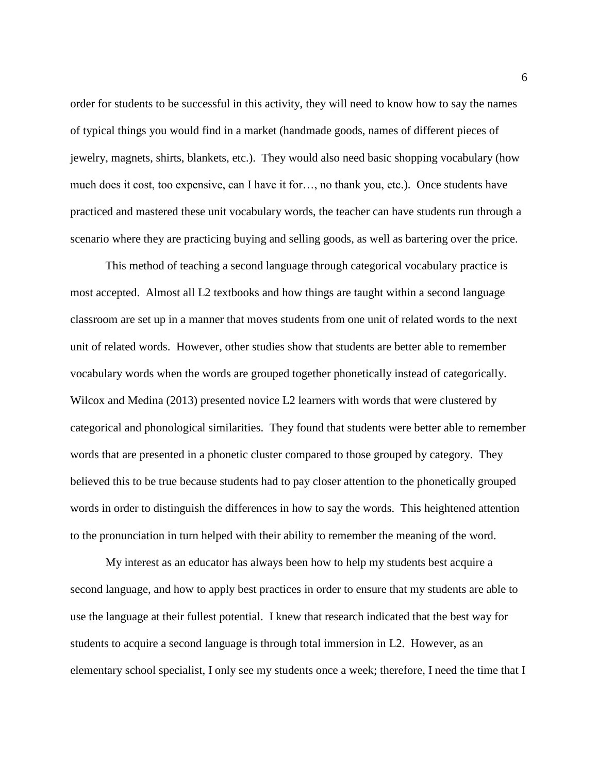order for students to be successful in this activity, they will need to know how to say the names of typical things you would find in a market (handmade goods, names of different pieces of jewelry, magnets, shirts, blankets, etc.). They would also need basic shopping vocabulary (how much does it cost, too expensive, can I have it for…, no thank you, etc.). Once students have practiced and mastered these unit vocabulary words, the teacher can have students run through a scenario where they are practicing buying and selling goods, as well as bartering over the price.

This method of teaching a second language through categorical vocabulary practice is most accepted. Almost all L2 textbooks and how things are taught within a second language classroom are set up in a manner that moves students from one unit of related words to the next unit of related words. However, other studies show that students are better able to remember vocabulary words when the words are grouped together phonetically instead of categorically. Wilcox and Medina (2013) presented novice L2 learners with words that were clustered by categorical and phonological similarities. They found that students were better able to remember words that are presented in a phonetic cluster compared to those grouped by category. They believed this to be true because students had to pay closer attention to the phonetically grouped words in order to distinguish the differences in how to say the words. This heightened attention to the pronunciation in turn helped with their ability to remember the meaning of the word.

My interest as an educator has always been how to help my students best acquire a second language, and how to apply best practices in order to ensure that my students are able to use the language at their fullest potential. I knew that research indicated that the best way for students to acquire a second language is through total immersion in L2. However, as an elementary school specialist, I only see my students once a week; therefore, I need the time that I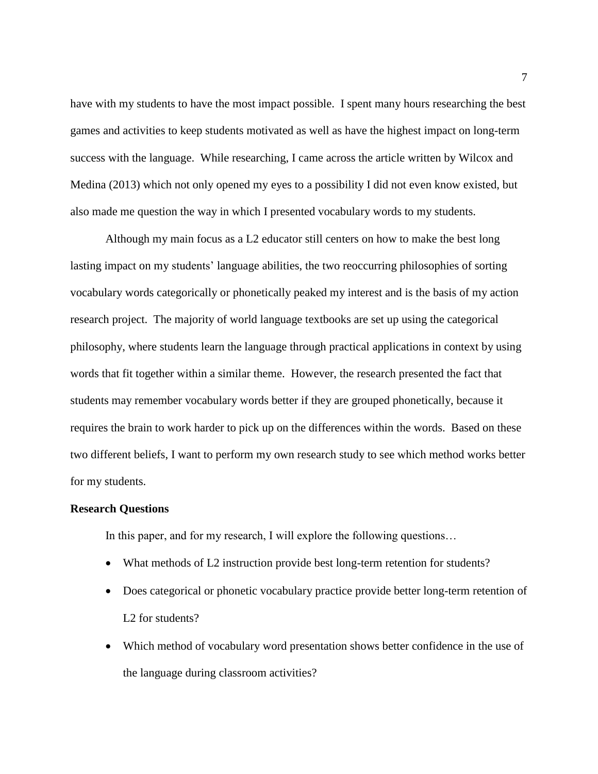have with my students to have the most impact possible. I spent many hours researching the best games and activities to keep students motivated as well as have the highest impact on long-term success with the language. While researching, I came across the article written by Wilcox and Medina (2013) which not only opened my eyes to a possibility I did not even know existed, but also made me question the way in which I presented vocabulary words to my students.

Although my main focus as a L2 educator still centers on how to make the best long lasting impact on my students' language abilities, the two reoccurring philosophies of sorting vocabulary words categorically or phonetically peaked my interest and is the basis of my action research project. The majority of world language textbooks are set up using the categorical philosophy, where students learn the language through practical applications in context by using words that fit together within a similar theme. However, the research presented the fact that students may remember vocabulary words better if they are grouped phonetically, because it requires the brain to work harder to pick up on the differences within the words. Based on these two different beliefs, I want to perform my own research study to see which method works better for my students.

#### **Research Questions**

In this paper, and for my research, I will explore the following questions...

- What methods of L2 instruction provide best long-term retention for students?
- Does categorical or phonetic vocabulary practice provide better long-term retention of L<sub>2</sub> for students?
- Which method of vocabulary word presentation shows better confidence in the use of the language during classroom activities?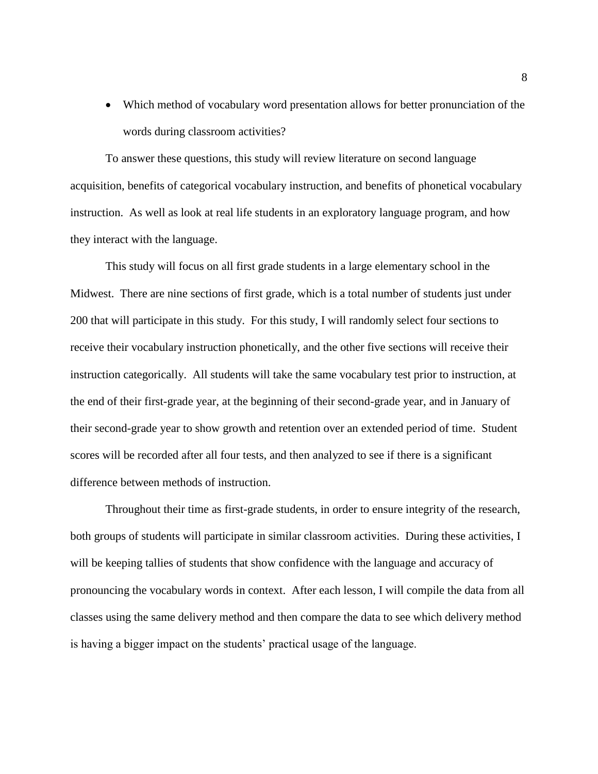Which method of vocabulary word presentation allows for better pronunciation of the words during classroom activities?

To answer these questions, this study will review literature on second language acquisition, benefits of categorical vocabulary instruction, and benefits of phonetical vocabulary instruction. As well as look at real life students in an exploratory language program, and how they interact with the language.

This study will focus on all first grade students in a large elementary school in the Midwest. There are nine sections of first grade, which is a total number of students just under 200 that will participate in this study. For this study, I will randomly select four sections to receive their vocabulary instruction phonetically, and the other five sections will receive their instruction categorically. All students will take the same vocabulary test prior to instruction, at the end of their first-grade year, at the beginning of their second-grade year, and in January of their second-grade year to show growth and retention over an extended period of time. Student scores will be recorded after all four tests, and then analyzed to see if there is a significant difference between methods of instruction.

Throughout their time as first-grade students, in order to ensure integrity of the research, both groups of students will participate in similar classroom activities. During these activities, I will be keeping tallies of students that show confidence with the language and accuracy of pronouncing the vocabulary words in context. After each lesson, I will compile the data from all classes using the same delivery method and then compare the data to see which delivery method is having a bigger impact on the students' practical usage of the language.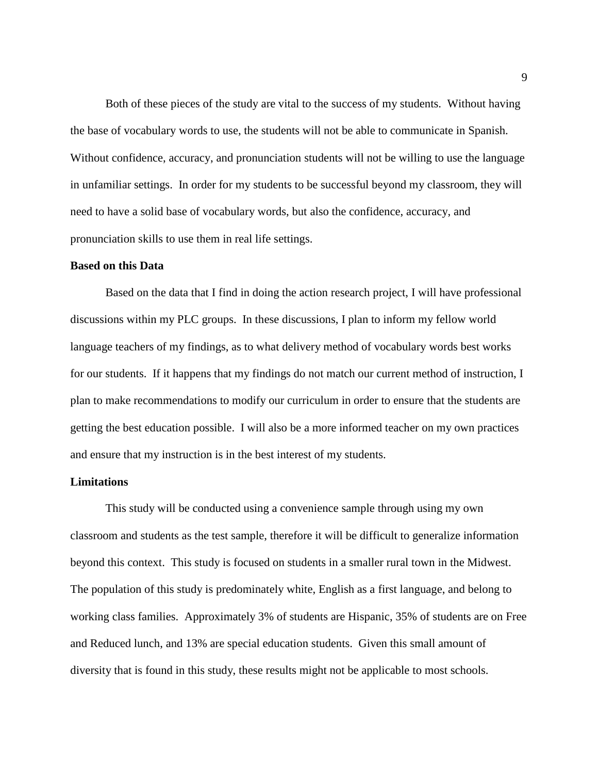Both of these pieces of the study are vital to the success of my students. Without having the base of vocabulary words to use, the students will not be able to communicate in Spanish. Without confidence, accuracy, and pronunciation students will not be willing to use the language in unfamiliar settings. In order for my students to be successful beyond my classroom, they will need to have a solid base of vocabulary words, but also the confidence, accuracy, and pronunciation skills to use them in real life settings.

#### **Based on this Data**

Based on the data that I find in doing the action research project, I will have professional discussions within my PLC groups. In these discussions, I plan to inform my fellow world language teachers of my findings, as to what delivery method of vocabulary words best works for our students. If it happens that my findings do not match our current method of instruction, I plan to make recommendations to modify our curriculum in order to ensure that the students are getting the best education possible. I will also be a more informed teacher on my own practices and ensure that my instruction is in the best interest of my students.

## **Limitations**

This study will be conducted using a convenience sample through using my own classroom and students as the test sample, therefore it will be difficult to generalize information beyond this context. This study is focused on students in a smaller rural town in the Midwest. The population of this study is predominately white, English as a first language, and belong to working class families. Approximately 3% of students are Hispanic, 35% of students are on Free and Reduced lunch, and 13% are special education students. Given this small amount of diversity that is found in this study, these results might not be applicable to most schools.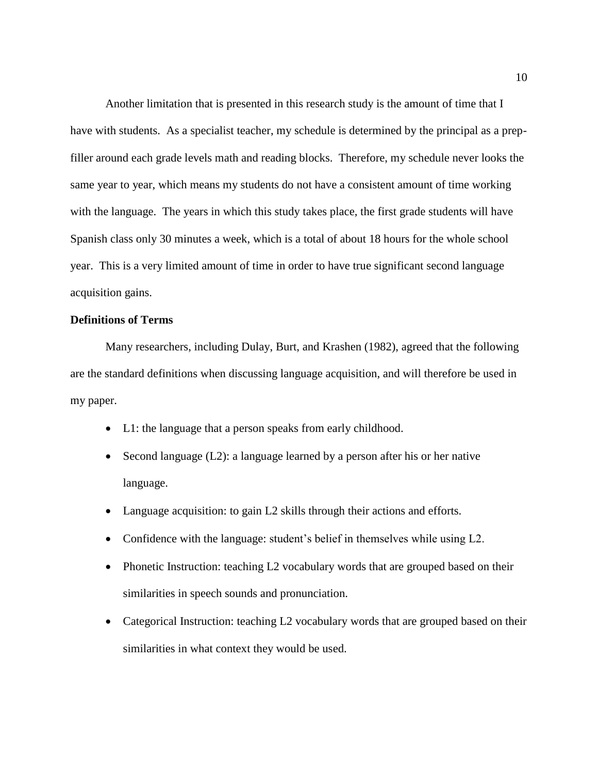Another limitation that is presented in this research study is the amount of time that I have with students. As a specialist teacher, my schedule is determined by the principal as a prepfiller around each grade levels math and reading blocks. Therefore, my schedule never looks the same year to year, which means my students do not have a consistent amount of time working with the language. The years in which this study takes place, the first grade students will have Spanish class only 30 minutes a week, which is a total of about 18 hours for the whole school year. This is a very limited amount of time in order to have true significant second language acquisition gains.

## **Definitions of Terms**

Many researchers, including Dulay, Burt, and Krashen (1982), agreed that the following are the standard definitions when discussing language acquisition, and will therefore be used in my paper.

- L1: the language that a person speaks from early childhood.
- Second language (L2): a language learned by a person after his or her native language.
- Language acquisition: to gain L2 skills through their actions and efforts.
- Confidence with the language: student's belief in themselves while using L2.
- Phonetic Instruction: teaching L2 vocabulary words that are grouped based on their similarities in speech sounds and pronunciation.
- Categorical Instruction: teaching L2 vocabulary words that are grouped based on their similarities in what context they would be used.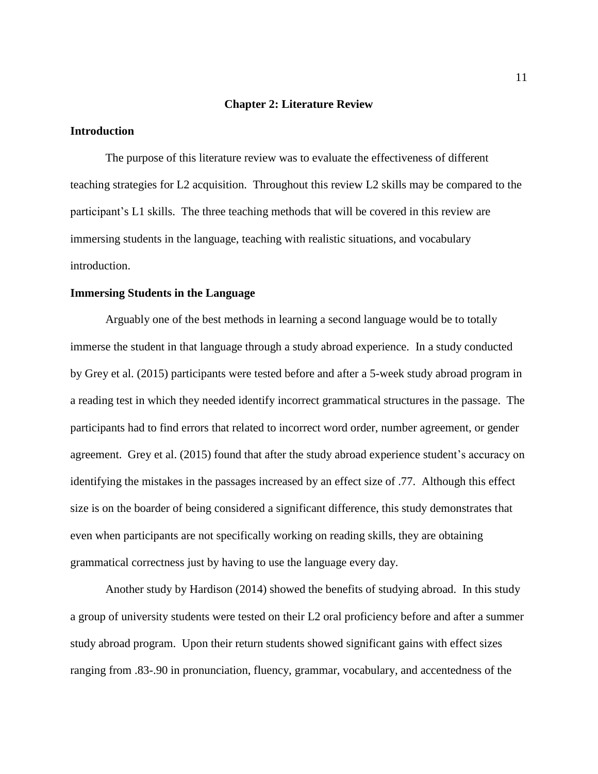#### **Chapter 2: Literature Review**

## **Introduction**

The purpose of this literature review was to evaluate the effectiveness of different teaching strategies for L2 acquisition. Throughout this review L2 skills may be compared to the participant's L1 skills. The three teaching methods that will be covered in this review are immersing students in the language, teaching with realistic situations, and vocabulary introduction.

## **Immersing Students in the Language**

Arguably one of the best methods in learning a second language would be to totally immerse the student in that language through a study abroad experience. In a study conducted by Grey et al. (2015) participants were tested before and after a 5-week study abroad program in a reading test in which they needed identify incorrect grammatical structures in the passage. The participants had to find errors that related to incorrect word order, number agreement, or gender agreement. Grey et al. (2015) found that after the study abroad experience student's accuracy on identifying the mistakes in the passages increased by an effect size of .77. Although this effect size is on the boarder of being considered a significant difference, this study demonstrates that even when participants are not specifically working on reading skills, they are obtaining grammatical correctness just by having to use the language every day.

Another study by Hardison (2014) showed the benefits of studying abroad. In this study a group of university students were tested on their L2 oral proficiency before and after a summer study abroad program. Upon their return students showed significant gains with effect sizes ranging from .83-.90 in pronunciation, fluency, grammar, vocabulary, and accentedness of the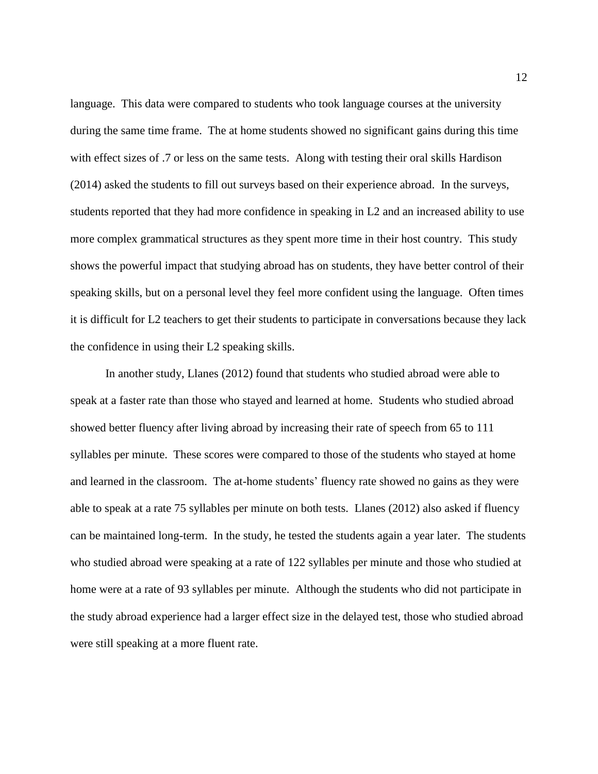language. This data were compared to students who took language courses at the university during the same time frame. The at home students showed no significant gains during this time with effect sizes of .7 or less on the same tests. Along with testing their oral skills Hardison (2014) asked the students to fill out surveys based on their experience abroad. In the surveys, students reported that they had more confidence in speaking in L2 and an increased ability to use more complex grammatical structures as they spent more time in their host country. This study shows the powerful impact that studying abroad has on students, they have better control of their speaking skills, but on a personal level they feel more confident using the language. Often times it is difficult for L2 teachers to get their students to participate in conversations because they lack the confidence in using their L2 speaking skills.

In another study, Llanes (2012) found that students who studied abroad were able to speak at a faster rate than those who stayed and learned at home. Students who studied abroad showed better fluency after living abroad by increasing their rate of speech from 65 to 111 syllables per minute. These scores were compared to those of the students who stayed at home and learned in the classroom. The at-home students' fluency rate showed no gains as they were able to speak at a rate 75 syllables per minute on both tests. Llanes (2012) also asked if fluency can be maintained long-term. In the study, he tested the students again a year later. The students who studied abroad were speaking at a rate of 122 syllables per minute and those who studied at home were at a rate of 93 syllables per minute. Although the students who did not participate in the study abroad experience had a larger effect size in the delayed test, those who studied abroad were still speaking at a more fluent rate.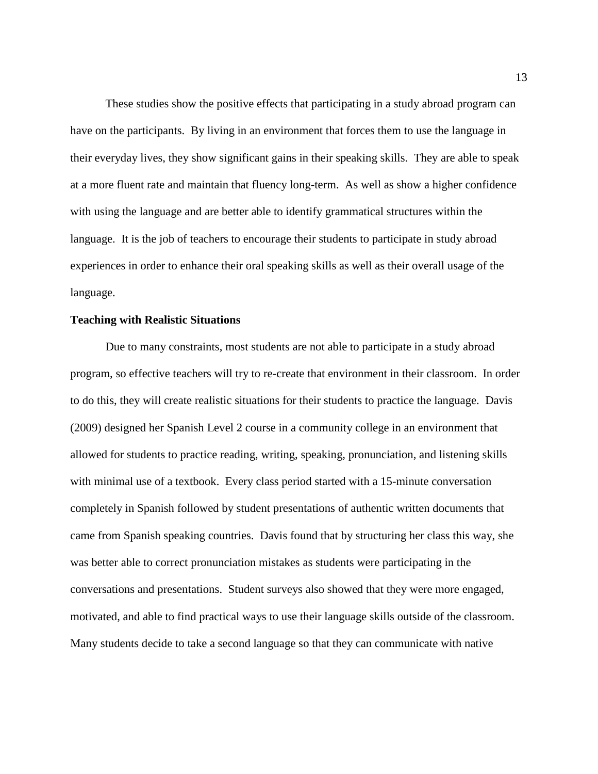These studies show the positive effects that participating in a study abroad program can have on the participants. By living in an environment that forces them to use the language in their everyday lives, they show significant gains in their speaking skills. They are able to speak at a more fluent rate and maintain that fluency long-term. As well as show a higher confidence with using the language and are better able to identify grammatical structures within the language. It is the job of teachers to encourage their students to participate in study abroad experiences in order to enhance their oral speaking skills as well as their overall usage of the language.

## **Teaching with Realistic Situations**

Due to many constraints, most students are not able to participate in a study abroad program, so effective teachers will try to re-create that environment in their classroom. In order to do this, they will create realistic situations for their students to practice the language. Davis (2009) designed her Spanish Level 2 course in a community college in an environment that allowed for students to practice reading, writing, speaking, pronunciation, and listening skills with minimal use of a textbook. Every class period started with a 15-minute conversation completely in Spanish followed by student presentations of authentic written documents that came from Spanish speaking countries. Davis found that by structuring her class this way, she was better able to correct pronunciation mistakes as students were participating in the conversations and presentations. Student surveys also showed that they were more engaged, motivated, and able to find practical ways to use their language skills outside of the classroom. Many students decide to take a second language so that they can communicate with native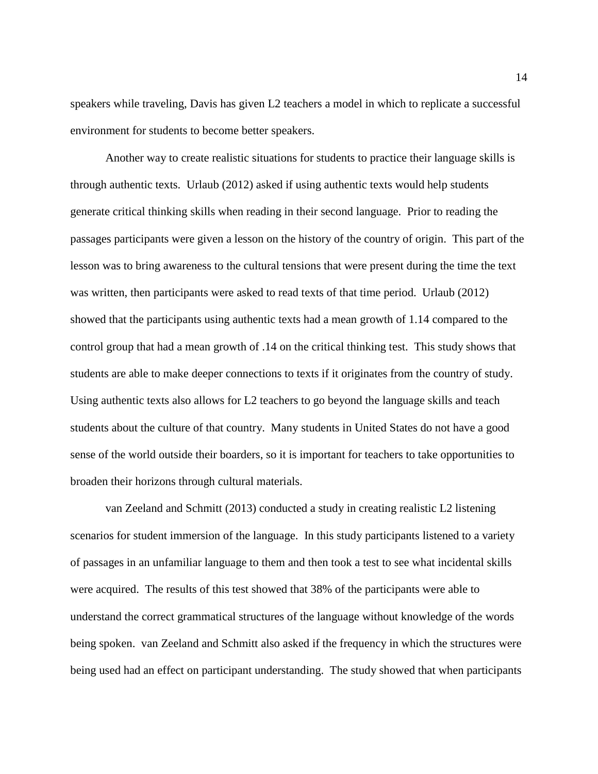speakers while traveling, Davis has given L2 teachers a model in which to replicate a successful environment for students to become better speakers.

Another way to create realistic situations for students to practice their language skills is through authentic texts. Urlaub (2012) asked if using authentic texts would help students generate critical thinking skills when reading in their second language. Prior to reading the passages participants were given a lesson on the history of the country of origin. This part of the lesson was to bring awareness to the cultural tensions that were present during the time the text was written, then participants were asked to read texts of that time period. Urlaub (2012) showed that the participants using authentic texts had a mean growth of 1.14 compared to the control group that had a mean growth of .14 on the critical thinking test. This study shows that students are able to make deeper connections to texts if it originates from the country of study. Using authentic texts also allows for L2 teachers to go beyond the language skills and teach students about the culture of that country. Many students in United States do not have a good sense of the world outside their boarders, so it is important for teachers to take opportunities to broaden their horizons through cultural materials.

van Zeeland and Schmitt (2013) conducted a study in creating realistic L2 listening scenarios for student immersion of the language. In this study participants listened to a variety of passages in an unfamiliar language to them and then took a test to see what incidental skills were acquired. The results of this test showed that 38% of the participants were able to understand the correct grammatical structures of the language without knowledge of the words being spoken. van Zeeland and Schmitt also asked if the frequency in which the structures were being used had an effect on participant understanding. The study showed that when participants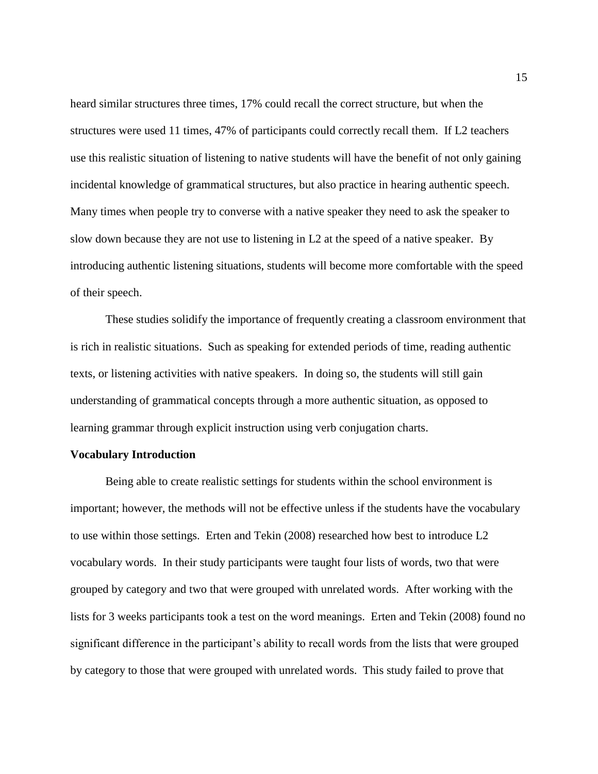heard similar structures three times, 17% could recall the correct structure, but when the structures were used 11 times, 47% of participants could correctly recall them. If L2 teachers use this realistic situation of listening to native students will have the benefit of not only gaining incidental knowledge of grammatical structures, but also practice in hearing authentic speech. Many times when people try to converse with a native speaker they need to ask the speaker to slow down because they are not use to listening in L2 at the speed of a native speaker. By introducing authentic listening situations, students will become more comfortable with the speed of their speech.

These studies solidify the importance of frequently creating a classroom environment that is rich in realistic situations. Such as speaking for extended periods of time, reading authentic texts, or listening activities with native speakers. In doing so, the students will still gain understanding of grammatical concepts through a more authentic situation, as opposed to learning grammar through explicit instruction using verb conjugation charts.

#### **Vocabulary Introduction**

Being able to create realistic settings for students within the school environment is important; however, the methods will not be effective unless if the students have the vocabulary to use within those settings. Erten and Tekin (2008) researched how best to introduce L2 vocabulary words. In their study participants were taught four lists of words, two that were grouped by category and two that were grouped with unrelated words. After working with the lists for 3 weeks participants took a test on the word meanings. Erten and Tekin (2008) found no significant difference in the participant's ability to recall words from the lists that were grouped by category to those that were grouped with unrelated words. This study failed to prove that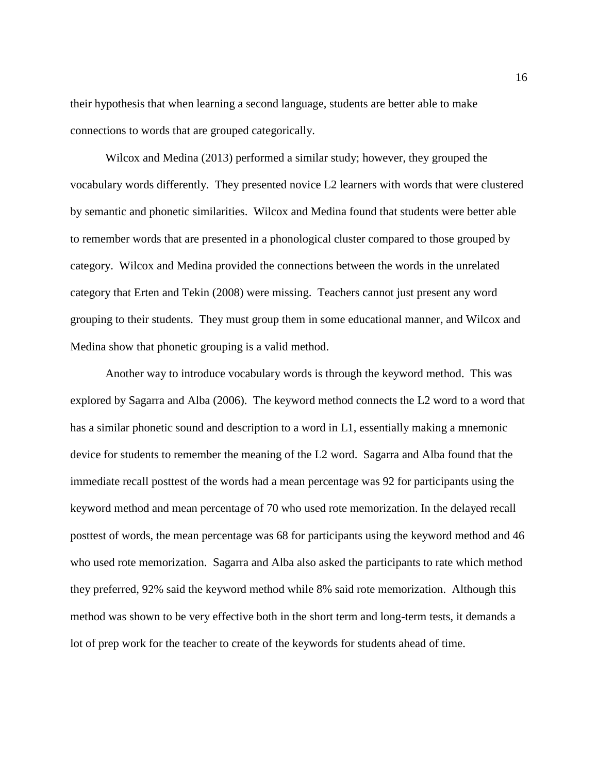their hypothesis that when learning a second language, students are better able to make connections to words that are grouped categorically.

Wilcox and Medina (2013) performed a similar study; however, they grouped the vocabulary words differently. They presented novice L2 learners with words that were clustered by semantic and phonetic similarities. Wilcox and Medina found that students were better able to remember words that are presented in a phonological cluster compared to those grouped by category. Wilcox and Medina provided the connections between the words in the unrelated category that Erten and Tekin (2008) were missing. Teachers cannot just present any word grouping to their students. They must group them in some educational manner, and Wilcox and Medina show that phonetic grouping is a valid method.

Another way to introduce vocabulary words is through the keyword method. This was explored by Sagarra and Alba (2006). The keyword method connects the L2 word to a word that has a similar phonetic sound and description to a word in L1, essentially making a mnemonic device for students to remember the meaning of the L2 word. Sagarra and Alba found that the immediate recall posttest of the words had a mean percentage was 92 for participants using the keyword method and mean percentage of 70 who used rote memorization. In the delayed recall posttest of words, the mean percentage was 68 for participants using the keyword method and 46 who used rote memorization. Sagarra and Alba also asked the participants to rate which method they preferred, 92% said the keyword method while 8% said rote memorization. Although this method was shown to be very effective both in the short term and long-term tests, it demands a lot of prep work for the teacher to create of the keywords for students ahead of time.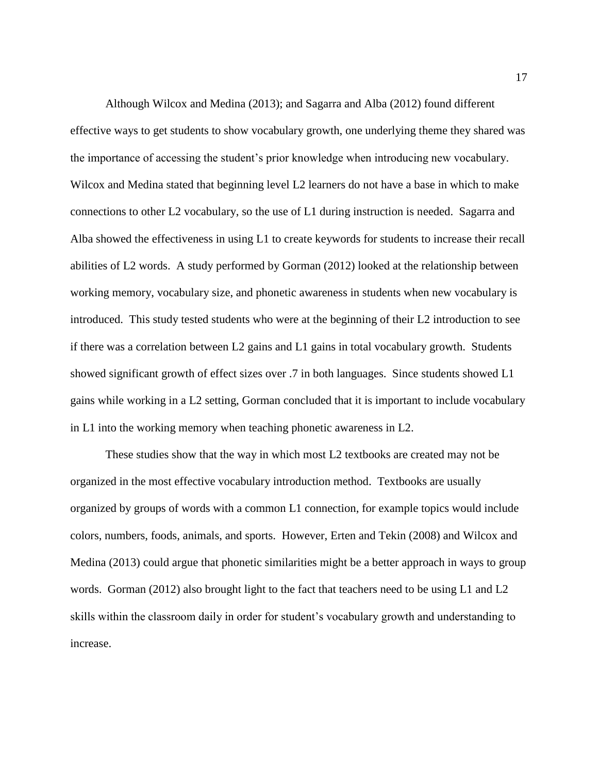Although Wilcox and Medina (2013); and Sagarra and Alba (2012) found different effective ways to get students to show vocabulary growth, one underlying theme they shared was the importance of accessing the student's prior knowledge when introducing new vocabulary. Wilcox and Medina stated that beginning level L2 learners do not have a base in which to make connections to other L2 vocabulary, so the use of L1 during instruction is needed. Sagarra and Alba showed the effectiveness in using L1 to create keywords for students to increase their recall abilities of L2 words. A study performed by Gorman (2012) looked at the relationship between working memory, vocabulary size, and phonetic awareness in students when new vocabulary is introduced. This study tested students who were at the beginning of their L2 introduction to see if there was a correlation between L2 gains and L1 gains in total vocabulary growth. Students showed significant growth of effect sizes over .7 in both languages. Since students showed L1 gains while working in a L2 setting, Gorman concluded that it is important to include vocabulary in L1 into the working memory when teaching phonetic awareness in L2.

These studies show that the way in which most L2 textbooks are created may not be organized in the most effective vocabulary introduction method. Textbooks are usually organized by groups of words with a common L1 connection, for example topics would include colors, numbers, foods, animals, and sports. However, Erten and Tekin (2008) and Wilcox and Medina (2013) could argue that phonetic similarities might be a better approach in ways to group words. Gorman (2012) also brought light to the fact that teachers need to be using L1 and L2 skills within the classroom daily in order for student's vocabulary growth and understanding to increase.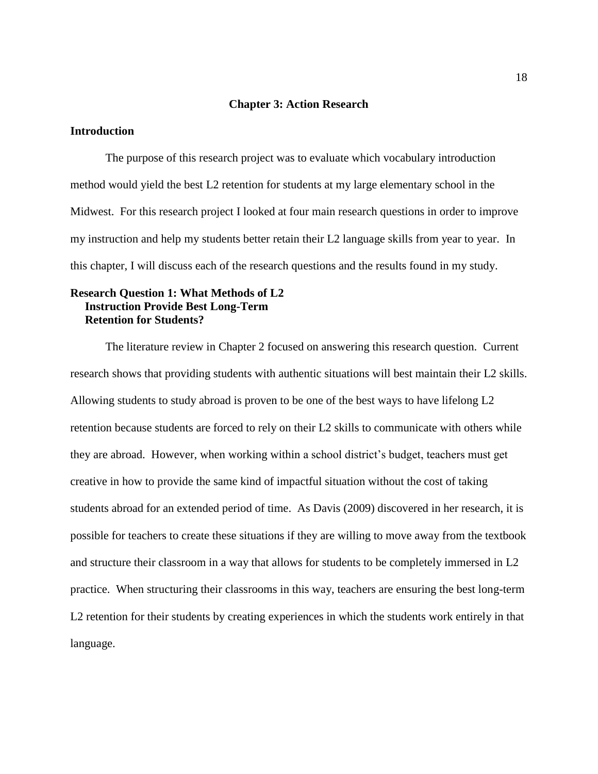## **Chapter 3: Action Research**

## **Introduction**

The purpose of this research project was to evaluate which vocabulary introduction method would yield the best L2 retention for students at my large elementary school in the Midwest. For this research project I looked at four main research questions in order to improve my instruction and help my students better retain their L2 language skills from year to year. In this chapter, I will discuss each of the research questions and the results found in my study.

## **Research Question 1: What Methods of L2 Instruction Provide Best Long-Term Retention for Students?**

The literature review in Chapter 2 focused on answering this research question. Current research shows that providing students with authentic situations will best maintain their L2 skills. Allowing students to study abroad is proven to be one of the best ways to have lifelong L2 retention because students are forced to rely on their L2 skills to communicate with others while they are abroad. However, when working within a school district's budget, teachers must get creative in how to provide the same kind of impactful situation without the cost of taking students abroad for an extended period of time. As Davis (2009) discovered in her research, it is possible for teachers to create these situations if they are willing to move away from the textbook and structure their classroom in a way that allows for students to be completely immersed in L2 practice. When structuring their classrooms in this way, teachers are ensuring the best long-term L2 retention for their students by creating experiences in which the students work entirely in that language.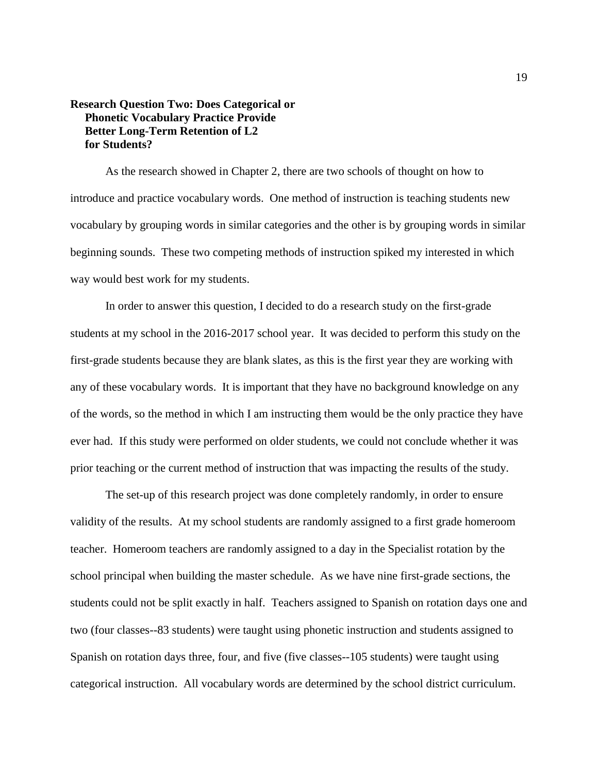## **Research Question Two: Does Categorical or Phonetic Vocabulary Practice Provide Better Long-Term Retention of L2 for Students?**

As the research showed in Chapter 2, there are two schools of thought on how to introduce and practice vocabulary words. One method of instruction is teaching students new vocabulary by grouping words in similar categories and the other is by grouping words in similar beginning sounds. These two competing methods of instruction spiked my interested in which way would best work for my students.

In order to answer this question, I decided to do a research study on the first-grade students at my school in the 2016-2017 school year. It was decided to perform this study on the first-grade students because they are blank slates, as this is the first year they are working with any of these vocabulary words. It is important that they have no background knowledge on any of the words, so the method in which I am instructing them would be the only practice they have ever had. If this study were performed on older students, we could not conclude whether it was prior teaching or the current method of instruction that was impacting the results of the study.

The set-up of this research project was done completely randomly, in order to ensure validity of the results. At my school students are randomly assigned to a first grade homeroom teacher. Homeroom teachers are randomly assigned to a day in the Specialist rotation by the school principal when building the master schedule. As we have nine first-grade sections, the students could not be split exactly in half. Teachers assigned to Spanish on rotation days one and two (four classes--83 students) were taught using phonetic instruction and students assigned to Spanish on rotation days three, four, and five (five classes--105 students) were taught using categorical instruction. All vocabulary words are determined by the school district curriculum.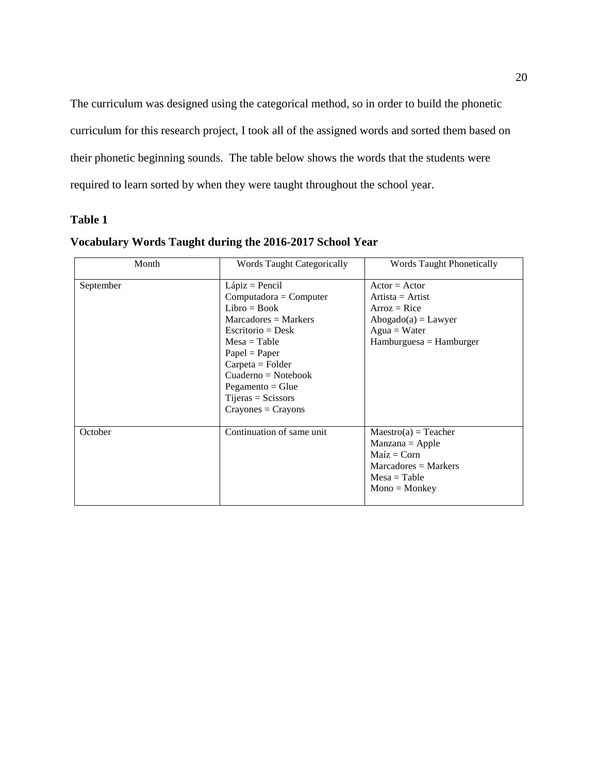The curriculum was designed using the categorical method, so in order to build the phonetic curriculum for this research project, I took all of the assigned words and sorted them based on their phonetic beginning sounds. The table below shows the words that the students were required to learn sorted by when they were taught throughout the school year.

## **Table 1**

| Month     | <b>Words Taught Categorically</b>                                                                                                                                                                                                                                      | <b>Words Taught Phonetically</b>                                                                                                    |
|-----------|------------------------------------------------------------------------------------------------------------------------------------------------------------------------------------------------------------------------------------------------------------------------|-------------------------------------------------------------------------------------------------------------------------------------|
| September | $Lápiz = Pencil$<br>$Computadora = Computer$<br>$Libro = Book$<br>$Marcadores = Marks$<br>Escritorio = Desk<br>$Mesa = Table$<br>$Papel = Paper$<br>$C$ arpeta = Folder<br>$Cuaderno = Notebook$<br>$Pegamento = Glue$<br>$Tijeras = Scissors$<br>$Crayones = Crayons$ | $Actor = Actor$<br>$Artista = Artist$<br>$Arroz = Rice$<br>$Abogado(a) = Lawyer$<br>$Agua = Water$<br>$H$ amburguesa = $H$ amburger |
| October   | Continuation of same unit                                                                                                                                                                                                                                              | $Maestro(a) = Teacher$<br>$Manzana = Apple$<br>$Maíz = Corn$<br>$Marcadores = Markers$<br>$Mesa = Table$<br>$Mono = Monkey$         |

## **Vocabulary Words Taught during the 2016-2017 School Year**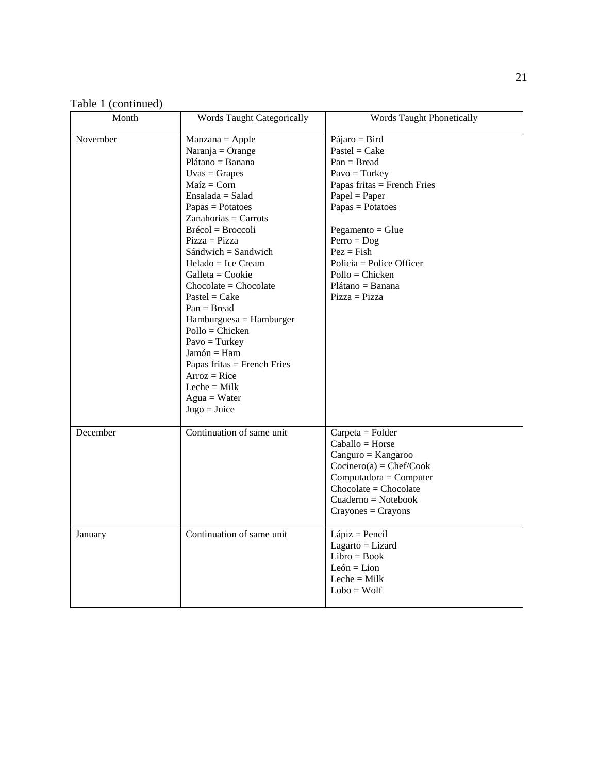Table 1 (continued)

| Month    | Words Taught Categorically                                                                                                                                                                                                                                                                                                                                                                                                                                                                                                                                  | Words Taught Phonetically                                                                                                                                                                                                                                                                       |
|----------|-------------------------------------------------------------------------------------------------------------------------------------------------------------------------------------------------------------------------------------------------------------------------------------------------------------------------------------------------------------------------------------------------------------------------------------------------------------------------------------------------------------------------------------------------------------|-------------------------------------------------------------------------------------------------------------------------------------------------------------------------------------------------------------------------------------------------------------------------------------------------|
| November | $Manzana = Apple$<br>Naranja = Orange<br>$Plátano = Banana$<br>$Uvas = \text{Grapes}$<br>$Maíz = Corn$<br>$Ensalada = Salad$<br>$Papas = Potatoes$<br>$Zanahorias = Carrots$<br>Brécol = Broccoli<br>$Pizza = Pizza$<br>$Sándwich = Sandwich$<br>$Helado = Ice Cream$<br>$Galleta = Cookie$<br>$Chocolate = Chocolate$<br>$Pastel = Cake$<br>$Pan = Bread$<br>$H$ amburguesa = $H$ amburger<br>$Pollo = Choice$<br>$Pavo = Turkey$<br>$Jamón = Ham$<br>Papas fritas = French Fries<br>$Arroz = Rice$<br>Leche = $Milk$<br>$Again = Water$<br>$Jugo = Juice$ | $Pájaro = Bird$<br>$Pastel = Cake$<br>$Pan = Bread$<br>$Pavo = Turkey$<br>Papas fritas = French Fries<br>$Papel = Paper$<br>$Papas = Potatoes$<br>$Pegamento = Glue$<br>$Perro = Dog$<br>$Pez = Fish$<br>Policía = Police Officer<br>$Pollo = Chicken$<br>$Plátano = Banana$<br>$Pizza = Pizza$ |
| December | Continuation of same unit                                                                                                                                                                                                                                                                                                                                                                                                                                                                                                                                   | $Carpeta = Folder$<br>$Caballo = Horse$<br>$Canguro = Kangaroo$<br>$Cocinero(a) = Chef/Cook$<br>$Computadora = Computer$<br>$Chocolate = Chocolate$<br>$Cuaderno = Notebook$<br>$Crayones = Crayons$                                                                                            |
| January  | Continuation of same unit                                                                                                                                                                                                                                                                                                                                                                                                                                                                                                                                   | $Lápiz = Pencil$<br>$Lagarto = Lizard$<br>$Libro = Book$<br>$León = Lion$<br>Leche $=$ Milk<br>$Lobo = Wolf$                                                                                                                                                                                    |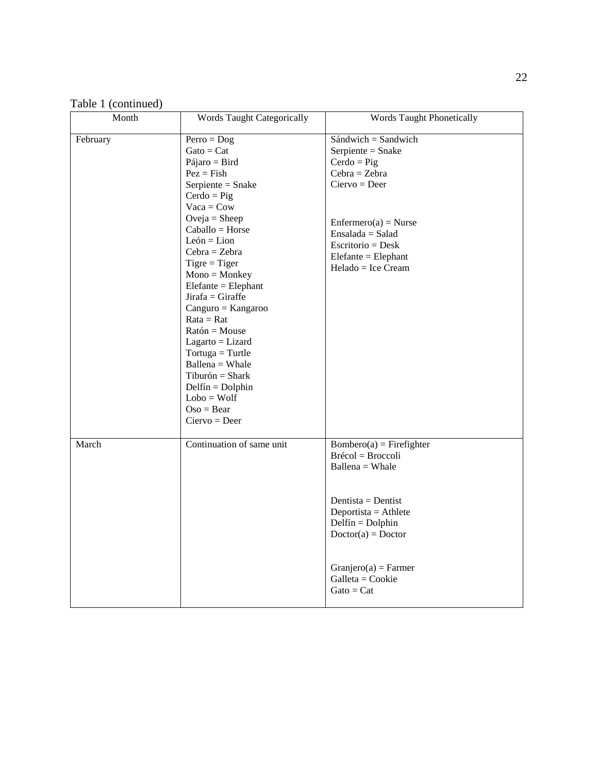Table 1 (continued)

| Month    | <b>Words Taught Categorically</b>                                                                                                                                                                                                                                                                                                                                                                                                                                                                                                                | <b>Words Taught Phonetically</b>                                                                                                                                                                                                                                          |
|----------|--------------------------------------------------------------------------------------------------------------------------------------------------------------------------------------------------------------------------------------------------------------------------------------------------------------------------------------------------------------------------------------------------------------------------------------------------------------------------------------------------------------------------------------------------|---------------------------------------------------------------------------------------------------------------------------------------------------------------------------------------------------------------------------------------------------------------------------|
| February | $Perro = Dog$<br>$\text{Gato} = \text{Cat}$<br>Pájaro = Bird<br>$Pez = Fish$<br>Serpiente = Snake<br>$Cerdo = Fig$<br>$Vaca = Cow$<br>$Oveja = Sheep$<br>$Caballo = Horse$<br>$León = Lion$<br>$Cebra = Zebra$<br>$Tigre = Tiger$<br>$Mono = Monkey$<br>$E$ lefante = $E$ lephant<br>$Jirafa = Giraffe$<br>$Canguro = Kangaroo$<br>$Rate = Rat$<br>$Ration = Mouse$<br>$Lagarto = Lizard$<br>$Tortuga = Turtle$<br>$Ballena = Whale$<br>$Tiburón = Shark$<br>$\text{Delfín} = \text{Dolphin}$<br>$Lobo = Wolf$<br>$Oso = Bear$<br>$Ciervo = Der$ | $Sándwich = Sandwich$<br>Serpiente = Snake<br>$Cerdo = Fig$<br>$Cebra = Zebra$<br>$Ciervo = Deer$<br>$Enfermero(a) = Nurse$<br>$Ensalada = Salad$<br>$Escritorio = Desk$<br>$E$ lefante = $E$ lephant<br>Helado = Ice Cream                                               |
| March    | Continuation of same unit                                                                                                                                                                                                                                                                                                                                                                                                                                                                                                                        | $Bombero(a) = Firefigure$<br>$Br\acute{\text{e}}\text{col} = Br\text{occoli}$<br>$Ballena = Whale$<br>Dentista = Dentist<br>Deportista = Athlete<br>$Delta = Dolphin$<br>$Doctor(a) = Doctor$<br>$Granjero(a) = Farmer$<br>Galleta = Cookie<br>$\text{Gato} = \text{Cat}$ |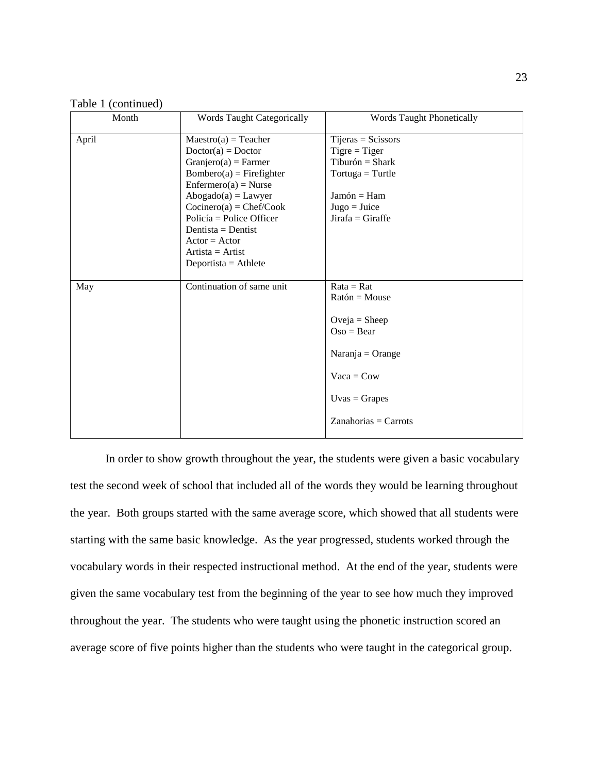| Table 1 (continued) |  |
|---------------------|--|
|                     |  |

| Month<br><b>Words Taught Categorically</b> |                                                                                                                                                                                                                                                                                                          | <b>Words Taught Phonetically</b>                                                                                                                            |  |
|--------------------------------------------|----------------------------------------------------------------------------------------------------------------------------------------------------------------------------------------------------------------------------------------------------------------------------------------------------------|-------------------------------------------------------------------------------------------------------------------------------------------------------------|--|
| April                                      | $Maestro(a) = Teacher$<br>$Doctor(a) = Doctor$<br>$Granjero(a) = Farmer$<br>$Bombero(a) = Firefigure$<br>$Enfermero(a) = Nurse$<br>$Abogado(a) = Lawyer$<br>$Cocinero(a) = Chef/Cook$<br>Policía = Police Officer<br>Dentista = Dentist<br>$Actor = Actor$<br>$Artista = Artist$<br>Deportista = Athlete | $Tijeras = Scissors$<br>$Tigre = Tiger$<br>$Tiburón = Shark$<br>$Tortuga = Turtle$<br>$Jamón = Ham$<br>$Jugo = Juice$<br>$Jirafa = Giraffe$                 |  |
| May                                        | Continuation of same unit                                                                                                                                                                                                                                                                                | $Rate = Rat$<br>$Ration = Mouse$<br>Oveja = Sheep<br>$Oso = Bear$<br>$Naranja = Orange$<br>$Vaca = Cow$<br>$Uvas = \text{Grapes}$<br>$Zanahorias = Carrots$ |  |

In order to show growth throughout the year, the students were given a basic vocabulary test the second week of school that included all of the words they would be learning throughout the year. Both groups started with the same average score, which showed that all students were starting with the same basic knowledge. As the year progressed, students worked through the vocabulary words in their respected instructional method. At the end of the year, students were given the same vocabulary test from the beginning of the year to see how much they improved throughout the year. The students who were taught using the phonetic instruction scored an average score of five points higher than the students who were taught in the categorical group.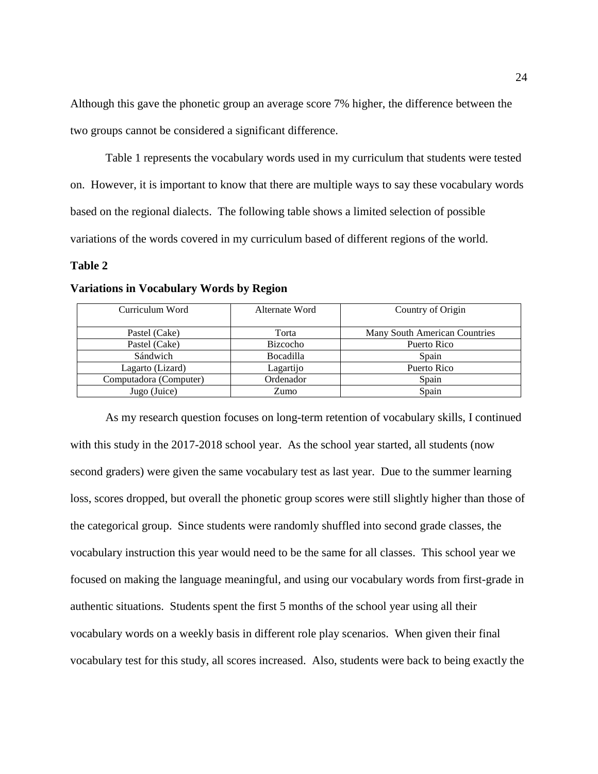Although this gave the phonetic group an average score 7% higher, the difference between the two groups cannot be considered a significant difference.

Table 1 represents the vocabulary words used in my curriculum that students were tested on. However, it is important to know that there are multiple ways to say these vocabulary words based on the regional dialects. The following table shows a limited selection of possible variations of the words covered in my curriculum based of different regions of the world.

#### **Table 2**

| Curriculum Word        | Alternate Word   | Country of Origin             |
|------------------------|------------------|-------------------------------|
|                        |                  |                               |
| Pastel (Cake)          | Torta            | Many South American Countries |
| Pastel (Cake)          | Bizcocho         | Puerto Rico                   |
| Sándwich               | <b>Bocadilla</b> | Spain                         |
| Lagarto (Lizard)       | Lagartijo        | Puerto Rico                   |
| Computadora (Computer) | Ordenador        | Spain                         |
| Jugo (Juice)           | Zumo             | Spain                         |

## **Variations in Vocabulary Words by Region**

As my research question focuses on long-term retention of vocabulary skills, I continued with this study in the 2017-2018 school year. As the school year started, all students (now second graders) were given the same vocabulary test as last year. Due to the summer learning loss, scores dropped, but overall the phonetic group scores were still slightly higher than those of the categorical group. Since students were randomly shuffled into second grade classes, the vocabulary instruction this year would need to be the same for all classes. This school year we focused on making the language meaningful, and using our vocabulary words from first-grade in authentic situations. Students spent the first 5 months of the school year using all their vocabulary words on a weekly basis in different role play scenarios. When given their final vocabulary test for this study, all scores increased. Also, students were back to being exactly the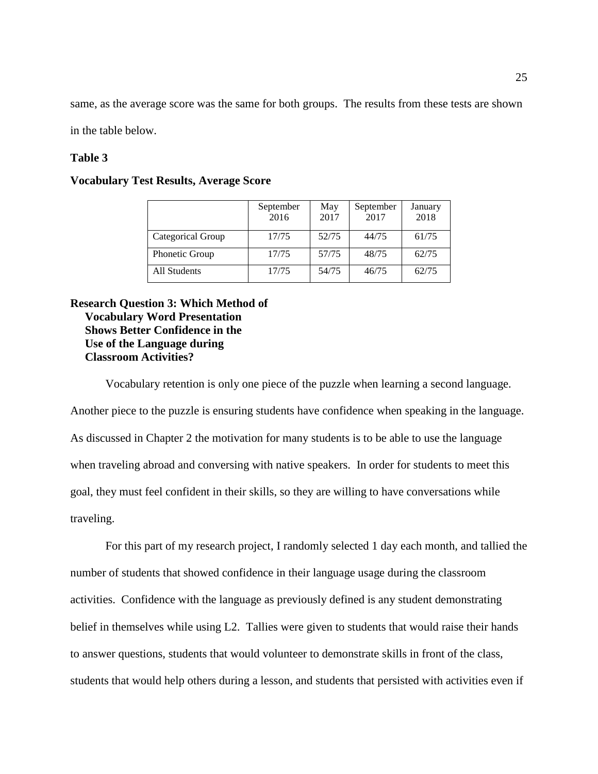same, as the average score was the same for both groups. The results from these tests are shown

in the table below.

## **Table 3**

## **Vocabulary Test Results, Average Score**

|                   | September<br>2016 | May<br>2017 | September<br>2017 | January<br>2018 |
|-------------------|-------------------|-------------|-------------------|-----------------|
| Categorical Group | 17/75             | 52/75       | 44/75             | 61/75           |
| Phonetic Group    | 17/75             | 57/75       | 48/75             | 62/75           |
| All Students      | 17/75             | 54/75       | 46/75             | 62/75           |

## **Research Question 3: Which Method of Vocabulary Word Presentation Shows Better Confidence in the Use of the Language during Classroom Activities?**

Vocabulary retention is only one piece of the puzzle when learning a second language.

Another piece to the puzzle is ensuring students have confidence when speaking in the language. As discussed in Chapter 2 the motivation for many students is to be able to use the language when traveling abroad and conversing with native speakers. In order for students to meet this goal, they must feel confident in their skills, so they are willing to have conversations while traveling.

For this part of my research project, I randomly selected 1 day each month, and tallied the number of students that showed confidence in their language usage during the classroom activities. Confidence with the language as previously defined is any student demonstrating belief in themselves while using L2. Tallies were given to students that would raise their hands to answer questions, students that would volunteer to demonstrate skills in front of the class, students that would help others during a lesson, and students that persisted with activities even if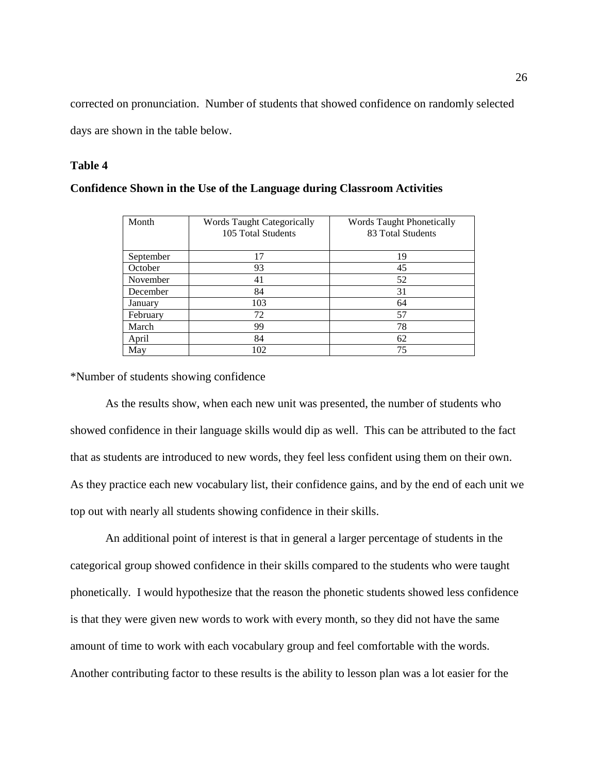corrected on pronunciation. Number of students that showed confidence on randomly selected days are shown in the table below.

## **Table 4**

| Month     | <b>Words Taught Categorically</b><br>105 Total Students | <b>Words Taught Phonetically</b><br>83 Total Students |
|-----------|---------------------------------------------------------|-------------------------------------------------------|
| September | 17                                                      | 19                                                    |
| October   | 93                                                      | 45                                                    |
| November  | 41                                                      | 52                                                    |
| December  | 84                                                      | 31                                                    |
| January   | 103                                                     | 64                                                    |
| February  | 72                                                      | 57                                                    |
| March     | 99                                                      | 78                                                    |
| April     | 84                                                      | 62                                                    |
| May       | 102                                                     | 75                                                    |

## **Confidence Shown in the Use of the Language during Classroom Activities**

\*Number of students showing confidence

As the results show, when each new unit was presented, the number of students who showed confidence in their language skills would dip as well. This can be attributed to the fact that as students are introduced to new words, they feel less confident using them on their own. As they practice each new vocabulary list, their confidence gains, and by the end of each unit we top out with nearly all students showing confidence in their skills.

An additional point of interest is that in general a larger percentage of students in the categorical group showed confidence in their skills compared to the students who were taught phonetically. I would hypothesize that the reason the phonetic students showed less confidence is that they were given new words to work with every month, so they did not have the same amount of time to work with each vocabulary group and feel comfortable with the words. Another contributing factor to these results is the ability to lesson plan was a lot easier for the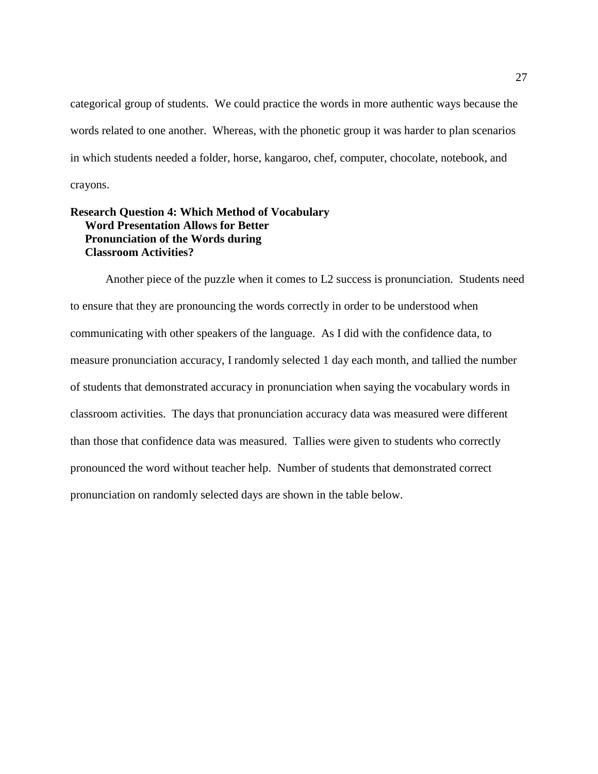categorical group of students. We could practice the words in more authentic ways because the words related to one another. Whereas, with the phonetic group it was harder to plan scenarios in which students needed a folder, horse, kangaroo, chef, computer, chocolate, notebook, and crayons.

## **Research Question 4: Which Method of Vocabulary Word Presentation Allows for Better Pronunciation of the Words during Classroom Activities?**

Another piece of the puzzle when it comes to L2 success is pronunciation. Students need to ensure that they are pronouncing the words correctly in order to be understood when communicating with other speakers of the language. As I did with the confidence data, to measure pronunciation accuracy, I randomly selected 1 day each month, and tallied the number of students that demonstrated accuracy in pronunciation when saying the vocabulary words in classroom activities. The days that pronunciation accuracy data was measured were different than those that confidence data was measured. Tallies were given to students who correctly pronounced the word without teacher help. Number of students that demonstrated correct pronunciation on randomly selected days are shown in the table below.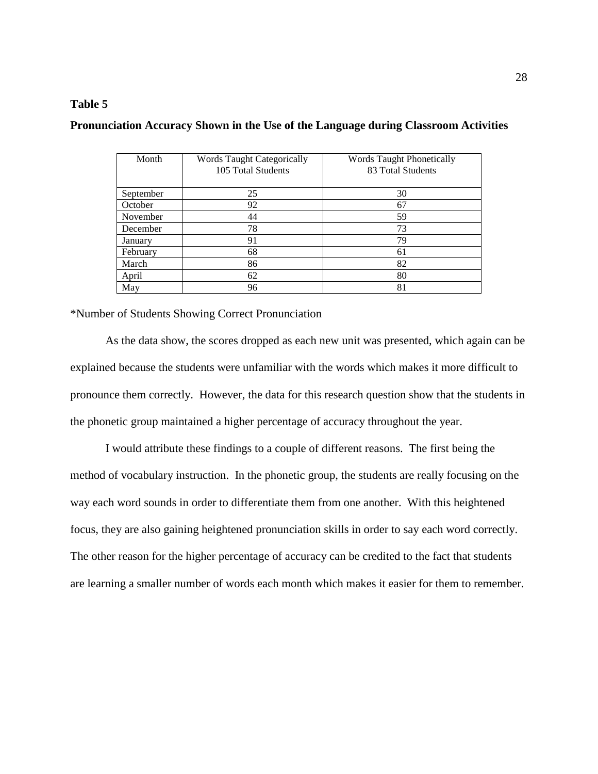## **Table 5**

| Month     | <b>Words Taught Categorically</b><br>105 Total Students | <b>Words Taught Phonetically</b><br>83 Total Students |
|-----------|---------------------------------------------------------|-------------------------------------------------------|
| September | 25                                                      | 30                                                    |
| October   | 92                                                      | 67                                                    |
| November  | 44                                                      | 59                                                    |
| December  | 78                                                      | 73                                                    |
| January   | 91                                                      | 79                                                    |
| February  | 68                                                      | 61                                                    |
| March     | 86                                                      | 82                                                    |
| April     | 62                                                      | 80                                                    |
| May       | 96                                                      | 81                                                    |

## **Pronunciation Accuracy Shown in the Use of the Language during Classroom Activities**

\*Number of Students Showing Correct Pronunciation

As the data show, the scores dropped as each new unit was presented, which again can be explained because the students were unfamiliar with the words which makes it more difficult to pronounce them correctly. However, the data for this research question show that the students in the phonetic group maintained a higher percentage of accuracy throughout the year.

I would attribute these findings to a couple of different reasons. The first being the method of vocabulary instruction. In the phonetic group, the students are really focusing on the way each word sounds in order to differentiate them from one another. With this heightened focus, they are also gaining heightened pronunciation skills in order to say each word correctly. The other reason for the higher percentage of accuracy can be credited to the fact that students are learning a smaller number of words each month which makes it easier for them to remember.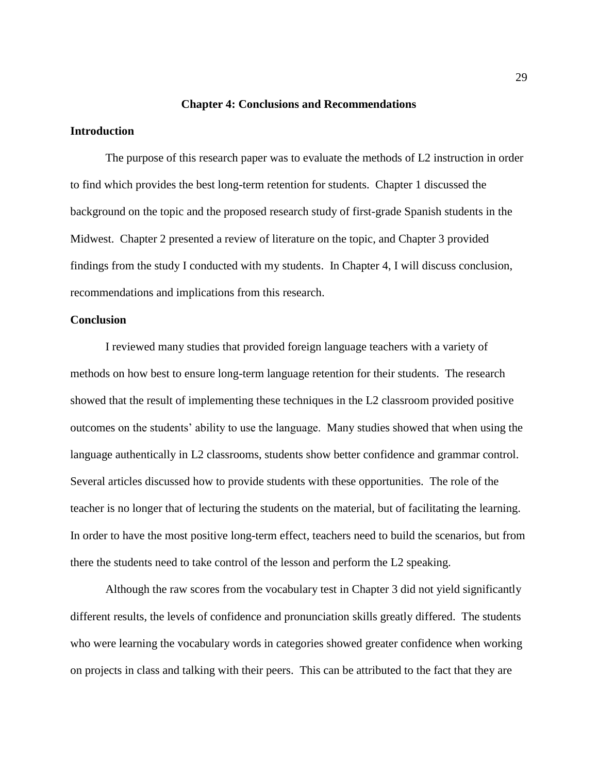#### **Chapter 4: Conclusions and Recommendations**

## **Introduction**

The purpose of this research paper was to evaluate the methods of L2 instruction in order to find which provides the best long-term retention for students. Chapter 1 discussed the background on the topic and the proposed research study of first-grade Spanish students in the Midwest. Chapter 2 presented a review of literature on the topic, and Chapter 3 provided findings from the study I conducted with my students. In Chapter 4, I will discuss conclusion, recommendations and implications from this research.

## **Conclusion**

I reviewed many studies that provided foreign language teachers with a variety of methods on how best to ensure long-term language retention for their students. The research showed that the result of implementing these techniques in the L2 classroom provided positive outcomes on the students' ability to use the language. Many studies showed that when using the language authentically in L2 classrooms, students show better confidence and grammar control. Several articles discussed how to provide students with these opportunities. The role of the teacher is no longer that of lecturing the students on the material, but of facilitating the learning. In order to have the most positive long-term effect, teachers need to build the scenarios, but from there the students need to take control of the lesson and perform the L2 speaking.

Although the raw scores from the vocabulary test in Chapter 3 did not yield significantly different results, the levels of confidence and pronunciation skills greatly differed. The students who were learning the vocabulary words in categories showed greater confidence when working on projects in class and talking with their peers. This can be attributed to the fact that they are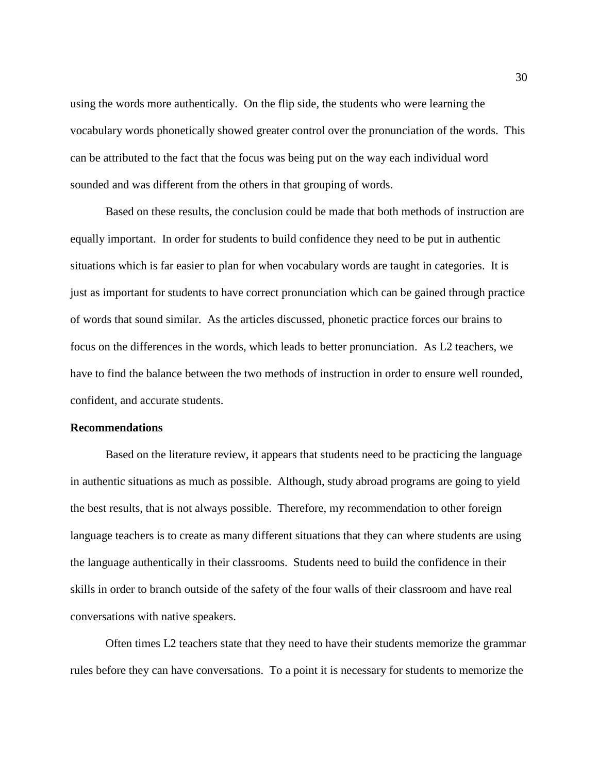using the words more authentically. On the flip side, the students who were learning the vocabulary words phonetically showed greater control over the pronunciation of the words. This can be attributed to the fact that the focus was being put on the way each individual word sounded and was different from the others in that grouping of words.

Based on these results, the conclusion could be made that both methods of instruction are equally important. In order for students to build confidence they need to be put in authentic situations which is far easier to plan for when vocabulary words are taught in categories. It is just as important for students to have correct pronunciation which can be gained through practice of words that sound similar. As the articles discussed, phonetic practice forces our brains to focus on the differences in the words, which leads to better pronunciation. As L2 teachers, we have to find the balance between the two methods of instruction in order to ensure well rounded, confident, and accurate students.

#### **Recommendations**

Based on the literature review, it appears that students need to be practicing the language in authentic situations as much as possible. Although, study abroad programs are going to yield the best results, that is not always possible. Therefore, my recommendation to other foreign language teachers is to create as many different situations that they can where students are using the language authentically in their classrooms. Students need to build the confidence in their skills in order to branch outside of the safety of the four walls of their classroom and have real conversations with native speakers.

Often times L2 teachers state that they need to have their students memorize the grammar rules before they can have conversations. To a point it is necessary for students to memorize the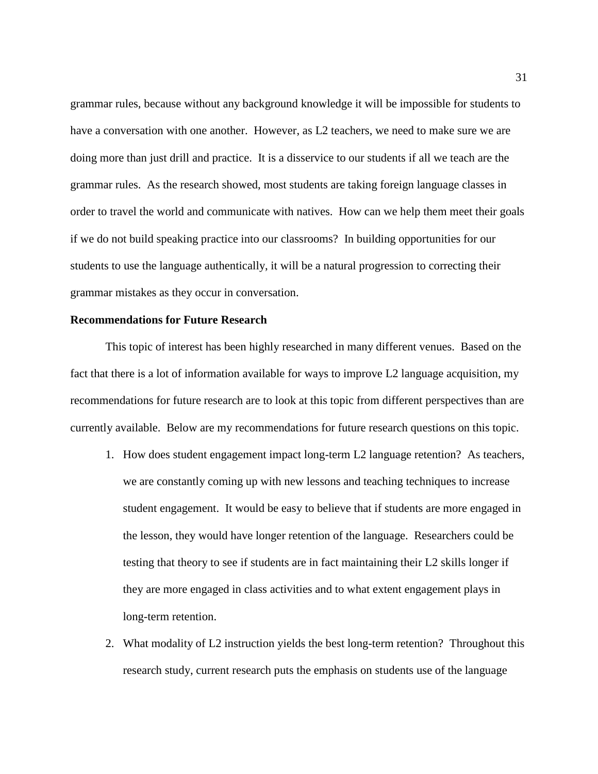grammar rules, because without any background knowledge it will be impossible for students to have a conversation with one another. However, as L2 teachers, we need to make sure we are doing more than just drill and practice. It is a disservice to our students if all we teach are the grammar rules. As the research showed, most students are taking foreign language classes in order to travel the world and communicate with natives. How can we help them meet their goals if we do not build speaking practice into our classrooms? In building opportunities for our students to use the language authentically, it will be a natural progression to correcting their grammar mistakes as they occur in conversation.

## **Recommendations for Future Research**

This topic of interest has been highly researched in many different venues. Based on the fact that there is a lot of information available for ways to improve L2 language acquisition, my recommendations for future research are to look at this topic from different perspectives than are currently available. Below are my recommendations for future research questions on this topic.

- 1. How does student engagement impact long-term L2 language retention? As teachers, we are constantly coming up with new lessons and teaching techniques to increase student engagement. It would be easy to believe that if students are more engaged in the lesson, they would have longer retention of the language. Researchers could be testing that theory to see if students are in fact maintaining their L2 skills longer if they are more engaged in class activities and to what extent engagement plays in long-term retention.
- 2. What modality of L2 instruction yields the best long-term retention? Throughout this research study, current research puts the emphasis on students use of the language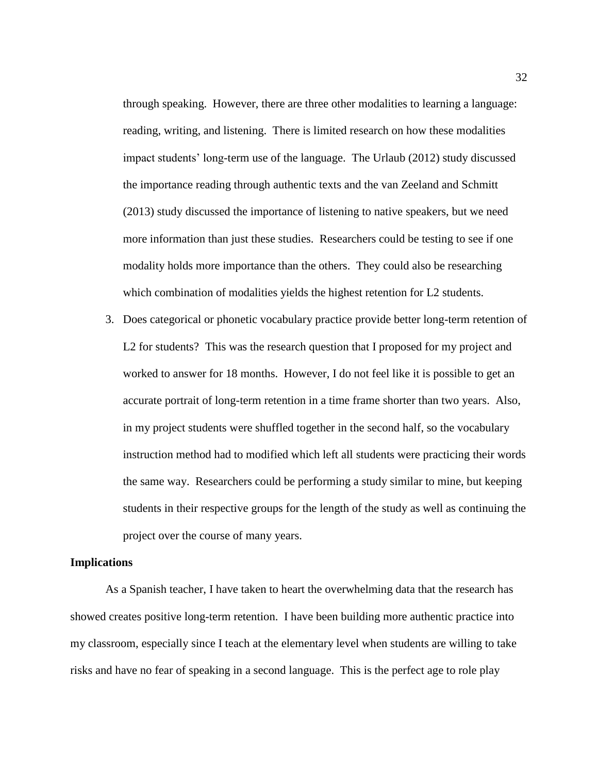through speaking. However, there are three other modalities to learning a language: reading, writing, and listening. There is limited research on how these modalities impact students' long-term use of the language. The Urlaub (2012) study discussed the importance reading through authentic texts and the van Zeeland and Schmitt (2013) study discussed the importance of listening to native speakers, but we need more information than just these studies. Researchers could be testing to see if one modality holds more importance than the others. They could also be researching which combination of modalities yields the highest retention for L2 students.

3. Does categorical or phonetic vocabulary practice provide better long-term retention of L2 for students? This was the research question that I proposed for my project and worked to answer for 18 months. However, I do not feel like it is possible to get an accurate portrait of long-term retention in a time frame shorter than two years. Also, in my project students were shuffled together in the second half, so the vocabulary instruction method had to modified which left all students were practicing their words the same way. Researchers could be performing a study similar to mine, but keeping students in their respective groups for the length of the study as well as continuing the project over the course of many years.

## **Implications**

As a Spanish teacher, I have taken to heart the overwhelming data that the research has showed creates positive long-term retention. I have been building more authentic practice into my classroom, especially since I teach at the elementary level when students are willing to take risks and have no fear of speaking in a second language. This is the perfect age to role play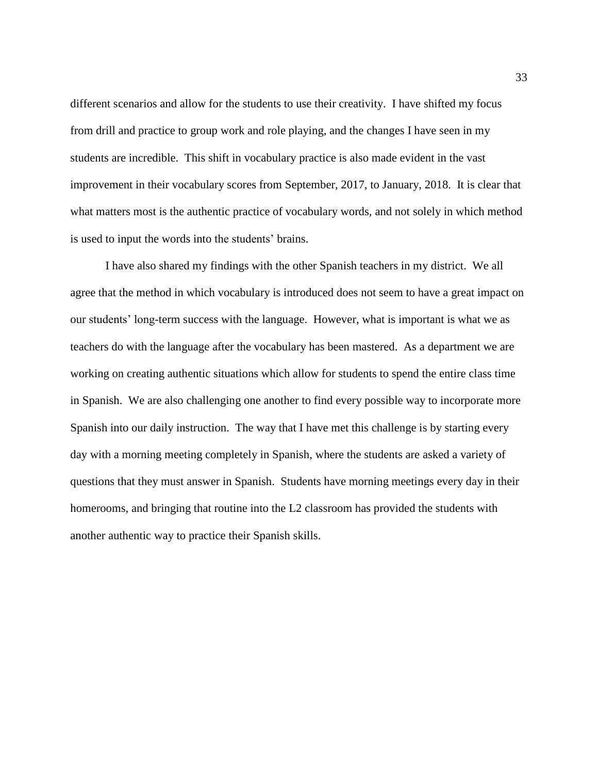different scenarios and allow for the students to use their creativity. I have shifted my focus from drill and practice to group work and role playing, and the changes I have seen in my students are incredible. This shift in vocabulary practice is also made evident in the vast improvement in their vocabulary scores from September, 2017, to January, 2018. It is clear that what matters most is the authentic practice of vocabulary words, and not solely in which method is used to input the words into the students' brains.

I have also shared my findings with the other Spanish teachers in my district. We all agree that the method in which vocabulary is introduced does not seem to have a great impact on our students' long-term success with the language. However, what is important is what we as teachers do with the language after the vocabulary has been mastered. As a department we are working on creating authentic situations which allow for students to spend the entire class time in Spanish. We are also challenging one another to find every possible way to incorporate more Spanish into our daily instruction. The way that I have met this challenge is by starting every day with a morning meeting completely in Spanish, where the students are asked a variety of questions that they must answer in Spanish. Students have morning meetings every day in their homerooms, and bringing that routine into the L2 classroom has provided the students with another authentic way to practice their Spanish skills.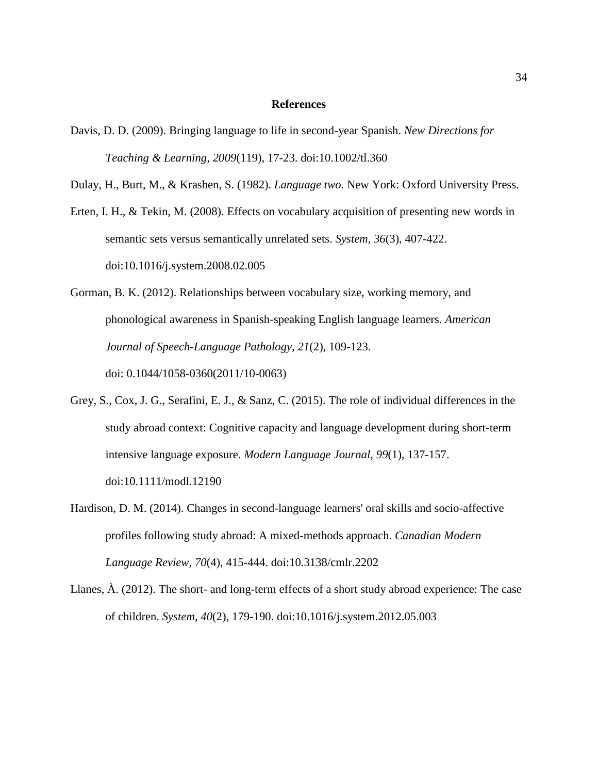## **References**

Davis, D. D. (2009). Bringing language to life in second-year Spanish. *New Directions for Teaching & Learning, 2009*(119), 17-23. doi:10.1002/tl.360

Dulay, H., Burt, M., & Krashen, S. (1982). *Language two*. New York: Oxford University Press.

- Erten, I. H., & Tekin, M. (2008). Effects on vocabulary acquisition of presenting new words in semantic sets versus semantically unrelated sets. *System, 36*(3), 407-422. doi:10.1016/j.system.2008.02.005
- Gorman, B. K. (2012). Relationships between vocabulary size, working memory, and phonological awareness in Spanish-speaking English language learners. *American Journal of Speech-Language Pathology, 21*(2), 109-123. doi: 0.1044/1058-0360(2011/10-0063)
- Grey, S., Cox, J. G., Serafini, E. J., & Sanz, C. (2015). The role of individual differences in the study abroad context: Cognitive capacity and language development during short-term intensive language exposure. *Modern Language Journal, 99*(1), 137-157. doi:10.1111/modl.12190
- Hardison, D. M. (2014). Changes in second-language learners' oral skills and socio-affective profiles following study abroad: A mixed-methods approach. *Canadian Modern Language Review, 70*(4), 415-444. doi:10.3138/cmlr.2202
- Llanes, À. (2012). The short- and long-term effects of a short study abroad experience: The case of children. *System, 40*(2), 179-190. doi:10.1016/j.system.2012.05.003